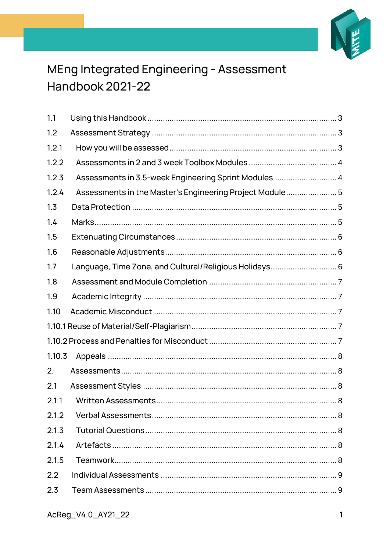

# MEng Integrated Engineering - Assessment Handbook 2021-22

| 1.1    |                                                         |
|--------|---------------------------------------------------------|
| 1.2    |                                                         |
| 1.2.1  |                                                         |
| 1.2.2  |                                                         |
| 1.2.3  | Assessments in 3.5-week Engineering Sprint Modules  4   |
| 1.2.4  | Assessments in the Master's Engineering Project Module5 |
| 1.3    |                                                         |
| 1.4    |                                                         |
| 1.5    |                                                         |
| 1.6    |                                                         |
| 1.7    | Language, Time Zone, and Cultural/Religious Holidays 6  |
| 1.8    |                                                         |
| 1.9    |                                                         |
| 1.10   |                                                         |
|        |                                                         |
|        |                                                         |
| 1.10.3 |                                                         |
| 2.     |                                                         |
| 2.1    |                                                         |
| 2.1.1  |                                                         |
| 2.1.2  |                                                         |
| 2.1.3  |                                                         |
| 2.1.4  |                                                         |
| 2.1.5  |                                                         |
| 2.2    |                                                         |
| 2.3    |                                                         |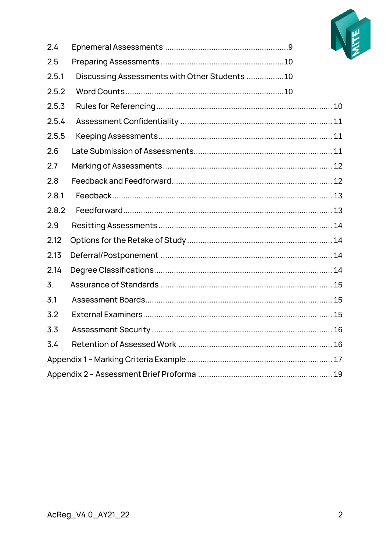

| 2.4              |                                               |  |
|------------------|-----------------------------------------------|--|
| 2.5              |                                               |  |
| 2.5.1            | Discussing Assessments with Other Students 10 |  |
| 2.5.2            |                                               |  |
| 2.5.3            |                                               |  |
| 2.5.4            |                                               |  |
| 2.5.5            |                                               |  |
| 2.6              |                                               |  |
| 2.7              |                                               |  |
| 2.8              |                                               |  |
| 2.8.1            |                                               |  |
| 2.8.2            |                                               |  |
| 2.9              |                                               |  |
| 2.12             |                                               |  |
| 2.13             |                                               |  |
| 2.14             |                                               |  |
| $\overline{3}$ . |                                               |  |
| 3.1              |                                               |  |
| 3.2              |                                               |  |
| 3.3              |                                               |  |
| 3.4              |                                               |  |
|                  |                                               |  |
|                  |                                               |  |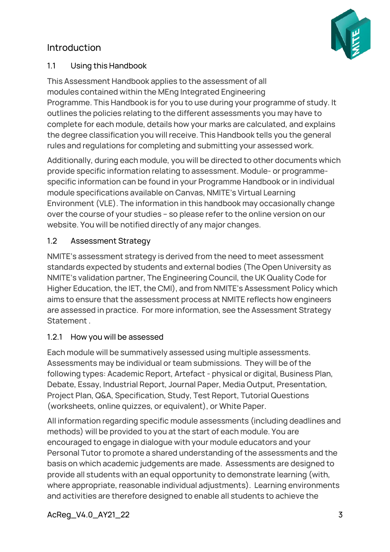# Introduction



#### <span id="page-2-0"></span>1.1 Using this Handbook

This Assessment Handbook applies to the assessment of all modules contained within the MEng Integrated Engineering Programme. This Handbook is for you to use during your programme of study. It outlines the policies relating to the different assessments you may have to complete for each module, details how your marks are calculated, and explains the degree classification you will receive. This Handbook tells you the general rules and regulations for completing and submitting your assessed work.

Additionally, during each module, you will be directed to other documents which provide specific information relating to assessment. Module- or programmespecific information can be found in your Programme Handbook or in individual module specifications available on Canvas, NMITE's Virtual Learning Environment (VLE). The information in this handbook may occasionally change over the course of your studies – so please refer to the online version on our website. You will be notified directly of any major changes.

#### <span id="page-2-1"></span>1.2 Assessment Strategy

NMITE's assessment strategy is derived from the need to meet assessment standards expected by students and external bodies (The Open University as NMITE's validation partner, The Engineering Council, the UK Quality Code for Higher Education, the IET, the CMI), and from NMITE's Assessment Policy which aims to ensure that the assessment process at NMITE reflects how engineers are assessed in practice. For more information, see the Assessment Strategy Statement .

#### <span id="page-2-2"></span>1.2.1 How you will be assessed

Each module will be summatively assessed using multiple assessments. Assessments may be individual or team submissions. They will be of the following types: Academic Report, Artefact - physical or digital, Business Plan, Debate, Essay, Industrial Report, Journal Paper, Media Output, Presentation, Project Plan, Q&A, Specification, Study, Test Report, Tutorial Questions (worksheets, online quizzes, or equivalent), or White Paper.

All information regarding specific module assessments (including deadlines and methods) will be provided to you at the start of each module. You are encouraged to engage in dialogue with your module educators and your Personal Tutor to promote a shared understanding of the assessments and the basis on which academic judgements are made. Assessments are designed to provide all students with an equal opportunity to demonstrate learning (with, where appropriate, reasonable individual adjustments). Learning environments and activities are therefore designed to enable all students to achieve the

AcReg\_V4.0\_AY21\_22 3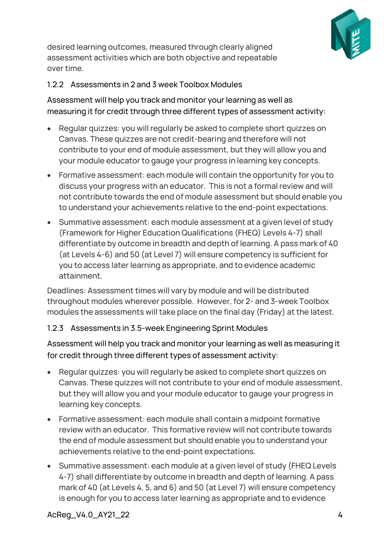

desired learning outcomes, measured through clearly aligned assessment activities which are both objective and repeatable over time.

# <span id="page-3-0"></span>1.2.2 Assessments in 2 and 3 week Toolbox Modules

Assessment will help you track and monitor your learning as well as measuring it for credit through three different types of assessment activity:

- Regular quizzes: you will regularly be asked to complete short quizzes on Canvas. These quizzes are not credit-bearing and therefore will not contribute to your end of module assessment, but they will allow you and your module educator to gauge your progress in learning key concepts.
- Formative assessment: each module will contain the opportunity for you to discuss your progress with an educator. This is not a formal review and will not contribute towards the end of module assessment but should enable you to understand your achievements relative to the end-point expectations.
- Summative assessment: each module assessment at a given level of study (Framework for Higher Education Qualifications (FHEQ) Levels 4-7) shall differentiate by outcome in breadth and depth of learning. A pass mark of 40 (at Levels 4-6) and 50 (at Level 7) will ensure competency is sufficient for you to access later learning as appropriate, and to evidence academic attainment.

Deadlines: Assessment times will vary by module and will be distributed throughout modules wherever possible. However, for 2- and 3-week Toolbox modules the assessments will take place on the final day (Friday) at the latest.

# <span id="page-3-1"></span>1.2.3 Assessments in 3.5-week Engineering Sprint Modules

Assessment will help you track and monitor your learning as well as measuring it for credit through three different types of assessment activity:

- Regular quizzes: you will regularly be asked to complete short quizzes on Canvas. These quizzes will not contribute to your end of module assessment, but they will allow you and your module educator to gauge your progress in learning key concepts.
- Formative assessment: each module shall contain a midpoint formative review with an educator. This formative review will not contribute towards the end of module assessment but should enable you to understand your achievements relative to the end-point expectations.
- Summative assessment: each module at a given level of study (FHEQ Levels 4-7) shall differentiate by outcome in breadth and depth of learning. A pass mark of 40 (at Levels 4, 5, and 6) and 50 (at Level 7) will ensure competency is enough for you to access later learning as appropriate and to evidence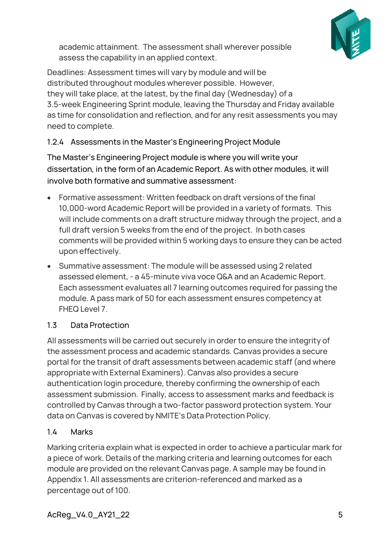

academic attainment. The assessment shall wherever possible assess the capability in an applied context.

Deadlines: Assessment times will vary by module and will be distributed throughout modules wherever possible. However, they will take place, at the latest, by the final day (Wednesday) of a 3.5-week Engineering Sprint module, leaving the Thursday and Friday available as time for consolidation and reflection, and for any resit assessments you may need to complete.

# <span id="page-4-0"></span>1.2.4 Assessments in the Master's Engineering Project Module

The Master's Engineering Project module is where you will write your dissertation, in the form of an Academic Report. As with other modules, it will involve both formative and summative assessment:

- Formative assessment: Written feedback on draft versions of the final 10,000-word Academic Report will be provided in a variety of formats. This will include comments on a draft structure midway through the project, and a full draft version 5 weeks from the end of the project. In both cases comments will be provided within 5 working days to ensure they can be acted upon effectively.
- Summative assessment: The module will be assessed using 2 related assessed element, - a 45-minute viva voce Q&A and an Academic Report. Each assessment evaluates all 7 learning outcomes required for passing the module. A pass mark of 50 for each assessment ensures competency at FHEQ Level 7.

# <span id="page-4-1"></span>1.3 Data Protection

All assessments will be carried out securely in order to ensure the integrity of the assessment process and academic standards. Canvas provides a secure portal for the transit of draft assessments between academic staff (and where appropriate with External Examiners). Canvas also provides a secure authentication login procedure, thereby confirming the ownership of each assessment submission. Finally, access to assessment marks and feedback is controlled by Canvas through a two-factor password protection system. Your data on Canvas is covered by NMITE's Data Protection Policy.

# <span id="page-4-2"></span>1.4 Marks

Marking criteria explain what is expected in order to achieve a particular mark for a piece of work. Details of the marking criteria and learning outcomes for each module are provided on the relevant Canvas page. A sample may be found in Appendix 1. All assessments are criterion-referenced and marked as a percentage out of 100.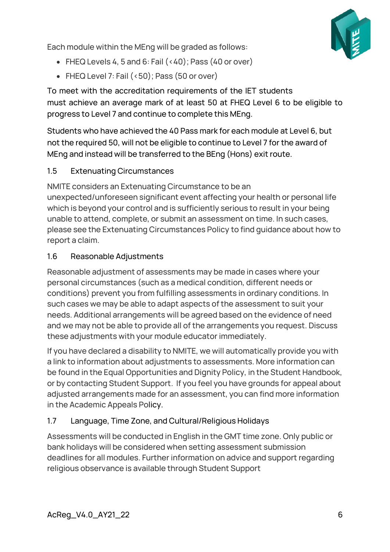Each module within the MEng will be graded as follows:



- FHEQ Levels 4, 5 and 6: Fail  $(40)$ ; Pass  $(40$  or over)
- FHEQ Level 7: Fail (<50); Pass (50 or over)

To meet with the accreditation requirements of the IET students must achieve an average mark of at least 50 at FHEQ Level 6 to be eligible to progress to Level 7 and continue to complete this MEng.

Students who have achieved the 40 Pass mark for each module at Level 6, but not the required 50, will not be eligible to continue to Level 7 for the award of MEng and instead will be transferred to the BEng (Hons) exit route.

# <span id="page-5-0"></span>1.5 Extenuating Circumstances

NMITE considers an Extenuating Circumstance to be an unexpected/unforeseen significant event affecting your health or personal life which is beyond your control and is sufficiently serious to result in your being unable to attend, complete, or submit an assessment on time. In such cases, please see the Extenuating Circumstances Policy to find guidance about how to report a claim.

# <span id="page-5-1"></span>1.6 Reasonable Adjustments

Reasonable adjustment of assessments may be made in cases where your personal circumstances (such as a medical condition, different needs or conditions) prevent you from fulfilling assessments in ordinary conditions. In such cases we may be able to adapt aspects of the assessment to suit your needs. Additional arrangements will be agreed based on the evidence of need and we may not be able to provide all of the arrangements you request. Discuss these adjustments with your module educator immediately.

If you have declared a disability to NMITE, we will automatically provide you with a link to information about adjustments to assessments. More information can be found in the Equal Opportunities and Dignity Policy, in the Student Handbook, or by contacting Student Support. If you feel you have grounds for appeal about adjusted arrangements made for an assessment, you can find more information in the Academic Appeals Policy.

# <span id="page-5-2"></span>1.7 Language, Time Zone, and Cultural/Religious Holidays

Assessments will be conducted in English in the GMT time zone. Only public or bank holidays will be considered when setting assessment submission deadlines for all modules. Further information on advice and support regarding religious observance is available through Student Support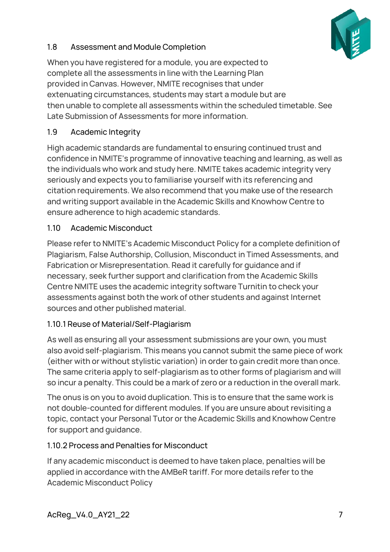

# <span id="page-6-0"></span>1.8 Assessment and Module Completion

When you have registered for a module, you are expected to complete all the assessments in line with the Learning Plan provided in Canvas. However, NMITE recognises that under extenuating circumstances, students may start a module but are then unable to complete all assessments within the scheduled timetable. See Late Submission of Assessments for more information.

# <span id="page-6-1"></span>1.9 Academic Integrity

High academic standards are fundamental to ensuring continued trust and confidence in NMITE's programme of innovative teaching and learning, as well as the individuals who work and study here. NMITE takes academic integrity very seriously and expects you to familiarise yourself with its referencing and citation requirements. We also recommend that you make use of the research and writing support available in the Academic Skills and Knowhow Centre to ensure adherence to high academic standards.

# <span id="page-6-2"></span>1.10 Academic Misconduct

Please refer to NMITE's Academic Misconduct Policy for a complete definition of Plagiarism, False Authorship, Collusion, Misconduct in Timed Assessments, and Fabrication or Misrepresentation. Read it carefully for guidance and if necessary, seek further support and clarification from the Academic Skills Centre NMITE uses the academic integrity software Turnitin to check your assessments against both the work of other students and against Internet sources and other published material.

# <span id="page-6-3"></span>1.10.1 Reuse of Material/Self-Plagiarism

As well as ensuring all your assessment submissions are your own, you must also avoid self-plagiarism. This means you cannot submit the same piece of work (either with or without stylistic variation) in order to gain credit more than once. The same criteria apply to self-plagiarism as to other forms of plagiarism and will so incur a penalty. This could be a mark of zero or a reduction in the overall mark.

The onus is on you to avoid duplication. This is to ensure that the same work is not double-counted for different modules. If you are unsure about revisiting a topic, contact your Personal Tutor or the Academic Skills and Knowhow Centre for support and guidance.

# <span id="page-6-4"></span>1.10.2 Process and Penalties for Misconduct

If any academic misconduct is deemed to have taken place, penalties will be applied in accordance with the AMBeR tariff. For more details refer to the Academic Misconduct Policy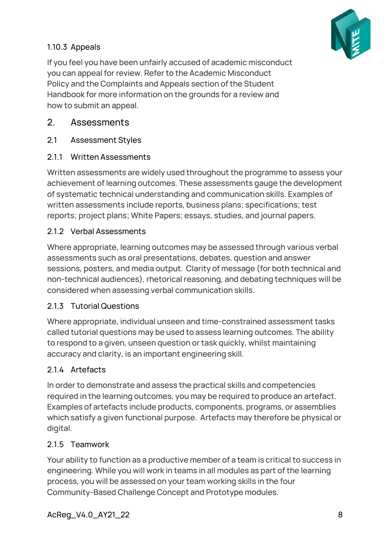# <span id="page-7-0"></span>1.10.3 Appeals

If you feel you have been unfairly accused of academic misconduct you can appeal for review. Refer to the Academic Misconduct Policy and the Complaints and Appeals section of the Student Handbook for more information on the grounds for a review and how to submit an appeal.

# <span id="page-7-1"></span>2. Assessments

<span id="page-7-2"></span>2.1 Assessment Styles

# <span id="page-7-3"></span>2.1.1 Written Assessments

Written assessments are widely used throughout the programme to assess your achievement of learning outcomes. These assessments gauge the development of systematic technical understanding and communication skills. Examples of written assessments include reports, business plans; specifications; test reports; project plans; White Papers; essays, studies, and journal papers.

# <span id="page-7-4"></span>2.1.2 Verbal Assessments

Where appropriate, learning outcomes may be assessed through various verbal assessments such as oral presentations, debates, question and answer sessions, posters, and media output. Clarity of message (for both technical and non-technical audiences), rhetorical reasoning, and debating techniques will be considered when assessing verbal communication skills.

# <span id="page-7-5"></span>2.1.3 Tutorial Questions

Where appropriate, individual unseen and time-constrained assessment tasks called tutorial questions may be used to assess learning outcomes. The ability to respond to a given, unseen question or task quickly, whilst maintaining accuracy and clarity, is an important engineering skill.

# <span id="page-7-6"></span>2.1.4 Artefacts

In order to demonstrate and assess the practical skills and competencies required in the learning outcomes, you may be required to produce an artefact. Examples of artefacts include products, components, programs, or assemblies which satisfy a given functional purpose. Artefacts may therefore be physical or digital.

# <span id="page-7-7"></span>2.1.5 Teamwork

Your ability to function as a productive member of a team is critical to success in engineering. While you will work in teams in all modules as part of the learning process, you will be assessed on your team working skills in the four Community-Based Challenge Concept and Prototype modules.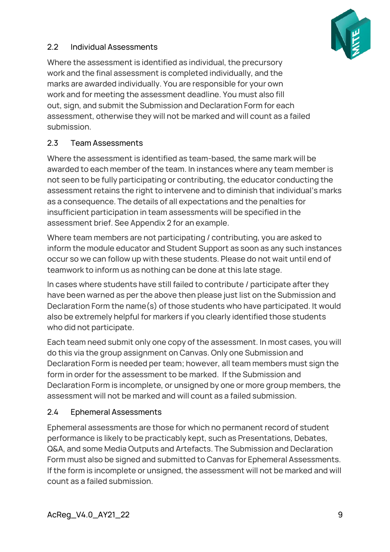

# <span id="page-8-0"></span>2.2 Individual Assessments

Where the assessment is identified as individual, the precursory work and the final assessment is completed individually, and the marks are awarded individually. You are responsible for your own work and for meeting the assessment deadline. You must also fill out, sign, and submit the Submission and Declaration Form for each assessment, otherwise they will not be marked and will count as a failed submission.

# <span id="page-8-1"></span>2.3 Team Assessments

Where the assessment is identified as team-based, the same mark will be awarded to each member of the team. In instances where any team member is not seen to be fully participating or contributing, the educator conducting the assessment retains the right to intervene and to diminish that individual's marks as a consequence. The details of all expectations and the penalties for insufficient participation in team assessments will be specified in the assessment brief. See Appendix 2 for an example.

Where team members are not participating / contributing, you are asked to inform the module educator and Student Support as soon as any such instances occur so we can follow up with these students. Please do not wait until end of teamwork to inform us as nothing can be done at this late stage.

In cases where students have still failed to contribute / participate after they have been warned as per the above then please just list on the Submission and Declaration Form the name(s) of those students who have participated. It would also be extremely helpful for markers if you clearly identified those students who did not participate.

Each team need submit only one copy of the assessment. In most cases, you will do this via the group assignment on Canvas. Only one Submission and Declaration Form is needed per team; however, all team members must sign the form in order for the assessment to be marked. If the Submission and Declaration Form is incomplete, or unsigned by one or more group members, the assessment will not be marked and will count as a failed submission.

#### <span id="page-8-2"></span>2.4 Ephemeral Assessments

Ephemeral assessments are those for which no permanent record of student performance is likely to be practicably kept, such as Presentations, Debates, Q&A, and some Media Outputs and Artefacts. The Submission and Declaration Form must also be signed and submitted to Canvas for Ephemeral Assessments. If the form is incomplete or unsigned, the assessment will not be marked and will count as a failed submission.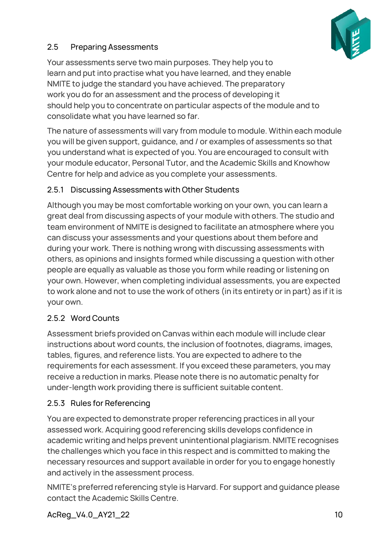

# <span id="page-9-0"></span>2.5 Preparing Assessments

Your assessments serve two main purposes. They help you to learn and put into practise what you have learned, and they enable NMITE to judge the standard you have achieved. The preparatory work you do for an assessment and the process of developing it should help you to concentrate on particular aspects of the module and to consolidate what you have learned so far.

The nature of assessments will vary from module to module. Within each module you will be given support, guidance, and / or examples of assessments so that you understand what is expected of you. You are encouraged to consult with your module educator, Personal Tutor, and the Academic Skills and Knowhow Centre for help and advice as you complete your assessments.

# <span id="page-9-1"></span>2.5.1 Discussing Assessments with Other Students

Although you may be most comfortable working on your own, you can learn a great deal from discussing aspects of your module with others. The studio and team environment of NMITE is designed to facilitate an atmosphere where you can discuss your assessments and your questions about them before and during your work. There is nothing wrong with discussing assessments with others, as opinions and insights formed while discussing a question with other people are equally as valuable as those you form while reading or listening on your own. However, when completing individual assessments, you are expected to work alone and not to use the work of others (in its entirety or in part) as if it is your own.

# <span id="page-9-2"></span>2.5.2 Word Counts

Assessment briefs provided on Canvas within each module will include clear instructions about word counts, the inclusion of footnotes, diagrams, images, tables, figures, and reference lists. You are expected to adhere to the requirements for each assessment. If you exceed these parameters, you may receive a reduction in marks. Please note there is no automatic penalty for under-length work providing there is sufficient suitable content.

# <span id="page-9-3"></span>2.5.3 Rules for Referencing

You are expected to demonstrate proper referencing practices in all your assessed work. Acquiring good referencing skills develops confidence in academic writing and helps prevent unintentional plagiarism. NMITE recognises the challenges which you face in this respect and is committed to making the necessary resources and support available in order for you to engage honestly and actively in the assessment process.

NMITE's preferred referencing style is Harvard. For support and guidance please contact the Academic Skills Centre.

AcReg\_V4.0\_AY21\_22 10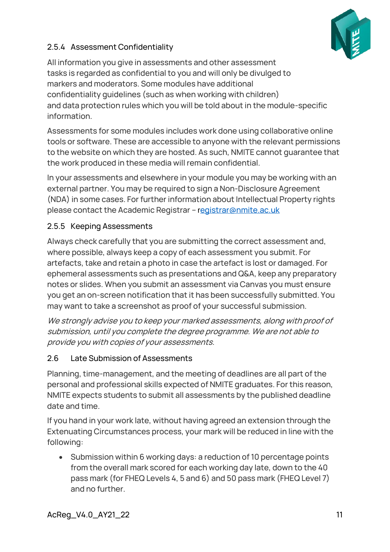

# <span id="page-10-0"></span>2.5.4 Assessment Confidentiality

All information you give in assessments and other assessment tasks is regarded as confidential to you and will only be divulged to markers and moderators. Some modules have additional confidentiality guidelines (such as when working with children) and data protection rules which you will be told about in the module-specific information.

Assessments for some modules includes work done using collaborative online tools or software. These are accessible to anyone with the relevant permissions to the website on which they are hosted. As such, NMITE cannot guarantee that the work produced in these media will remain confidential.

In your assessments and elsewhere in your module you may be working with an external partner. You may be required to sign a Non-Disclosure Agreement (NDA) in some cases. For further information about Intellectual Property rights please contact the Academic Regist[r](mailto:Registrar@nmite.ac.uk)ar - r[egistrar@nmite.ac.uk](mailto:Registrar@nmite.ac.uk)

# <span id="page-10-1"></span>2.5.5 Keeping Assessments

Always check carefully that you are submitting the correct assessment and, where possible, always keep a copy of each assessment you submit. For artefacts, take and retain a photo in case the artefact is lost or damaged. For ephemeral assessments such as presentations and Q&A, keep any preparatory notes or slides. When you submit an assessment via Canvas you must ensure you get an on-screen notification that it has been successfully submitted. You may want to take a screenshot as proof of your successful submission.

We strongly advise you to keep your marked assessments, along with proof of submission, until you complete the degree programme. We are not able to provide you with copies of your assessments.

# <span id="page-10-2"></span>2.6 Late Submission of Assessments

Planning, time-management, and the meeting of deadlines are all part of the personal and professional skills expected of NMITE graduates. For this reason, NMITE expects students to submit all assessments by the published deadline date and time.

If you hand in your work late, without having agreed an extension through the Extenuating Circumstances process, your mark will be reduced in line with the following:

• Submission within 6 working days: a reduction of 10 percentage points from the overall mark scored for each working day late, down to the 40 pass mark (for FHEQ Levels 4, 5 and 6) and 50 pass mark (FHEQ Level 7) and no further.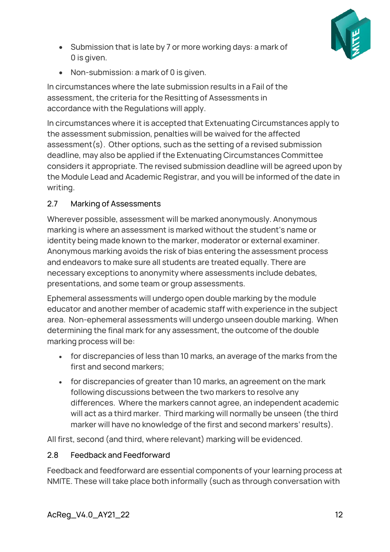

- Submission that is late by 7 or more working days: a mark of 0 is given.
- Non-submission: a mark of 0 is given.

In circumstances where the late submission results in a Fail of the assessment, the criteria for the Resitting of Assessments in accordance with the Regulations will apply.

In circumstances where it is accepted that Extenuating Circumstances apply to the assessment submission, penalties will be waived for the affected assessment(s). Other options, such as the setting of a revised submission deadline, may also be applied if the Extenuating Circumstances Committee considers it appropriate. The revised submission deadline will be agreed upon by the Module Lead and Academic Registrar, and you will be informed of the date in writing.

# <span id="page-11-0"></span>2.7 Marking of Assessments

Wherever possible, assessment will be marked anonymously. Anonymous marking is where an assessment is marked without the student's name or identity being made known to the marker, moderator or external examiner. Anonymous marking avoids the risk of bias entering the assessment process and endeavors to make sure all students are treated equally. There are necessary exceptions to anonymity where assessments include debates, presentations, and some team or group assessments.

Ephemeral assessments will undergo open double marking by the module educator and another member of academic staff with experience in the subject area. Non-ephemeral assessments will undergo unseen double marking. When determining the final mark for any assessment, the outcome of the double marking process will be:

- for discrepancies of less than 10 marks, an average of the marks from the first and second markers;
- for discrepancies of greater than 10 marks, an agreement on the mark following discussions between the two markers to resolve any differences. Where the markers cannot agree, an independent academic will act as a third marker. Third marking will normally be unseen (the third marker will have no knowledge of the first and second markers' results).

All first, second (and third, where relevant) marking will be evidenced.

# <span id="page-11-1"></span>2.8 Feedback and Feedforward

Feedback and feedforward are essential components of your learning process at NMITE. These will take place both informally (such as through conversation with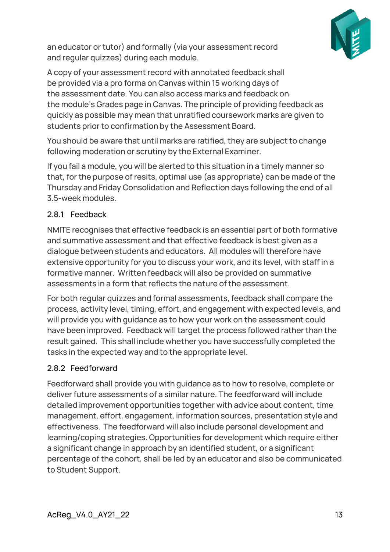

an educator or tutor) and formally (via your assessment record and regular quizzes) during each module.

A copy of your assessment record with annotated feedback shall be provided via a pro forma on Canvas within 15 working days of the assessment date. You can also access marks and feedback on the module's Grades page in Canvas. The principle of providing feedback as quickly as possible may mean that unratified coursework marks are given to students prior to confirmation by the Assessment Board.

You should be aware that until marks are ratified, they are subject to change following moderation or scrutiny by the External Examiner.

If you fail a module, you will be alerted to this situation in a timely manner so that, for the purpose of resits, optimal use (as appropriate) can be made of the Thursday and Friday Consolidation and Reflection days following the end of all 3.5-week modules.

### <span id="page-12-0"></span>2.8.1 Feedback

NMITE recognises that effective feedback is an essential part of both formative and summative assessment and that effective feedback is best given as a dialogue between students and educators. All modules will therefore have extensive opportunity for you to discuss your work, and its level, with staff in a formative manner. Written feedback will also be provided on summative assessments in a form that reflects the nature of the assessment.

For both regular quizzes and formal assessments, feedback shall compare the process, activity level, timing, effort, and engagement with expected levels, and will provide you with guidance as to how your work on the assessment could have been improved. Feedback will target the process followed rather than the result gained. This shall include whether you have successfully completed the tasks in the expected way and to the appropriate level.

#### <span id="page-12-1"></span>2.8.2 Feedforward

Feedforward shall provide you with guidance as to how to resolve, complete or deliver future assessments of a similar nature. The feedforward will include detailed improvement opportunities together with advice about content, time management, effort, engagement, information sources, presentation style and effectiveness. The feedforward will also include personal development and learning/coping strategies. Opportunities for development which require either a significant change in approach by an identified student, or a significant percentage of the cohort, shall be led by an educator and also be communicated to Student Support.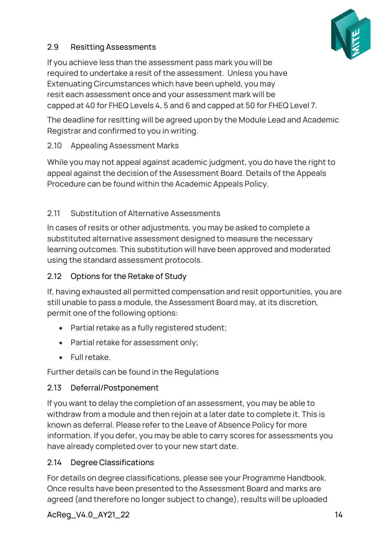

# <span id="page-13-0"></span>2.9 Resitting Assessments

If you achieve less than the assessment pass mark you will be required to undertake a resit of the assessment. Unless you have Extenuating Circumstances which have been upheld, you may resit each assessment once and your assessment mark will be capped at 40 for FHEQ Levels 4, 5 and 6 and capped at 50 for FHEQ Level 7.

The deadline for resitting will be agreed upon by the Module Lead and Academic Registrar and confirmed to you in writing.

# 2.10 Appealing Assessment Marks

While you may not appeal against academic judgment, you do have the right to appeal against the decision of the Assessment Board. Details of the Appeals Procedure can be found within the Academic Appeals Policy.

# 2.11 Substitution of Alternative Assessments

In cases of resits or other adjustments, you may be asked to complete a substituted alternative assessment designed to measure the necessary learning outcomes. This substitution will have been approved and moderated using the standard assessment protocols.

# <span id="page-13-1"></span>2.12 Options for the Retake of Study

If, having exhausted all permitted compensation and resit opportunities, you are still unable to pass a module, the Assessment Board may, at its discretion, permit one of the following options:

- Partial retake as a fully registered student;
- Partial retake for assessment only;
- Full retake.

Further details can be found in the Regulations

# <span id="page-13-2"></span>2.13 Deferral/Postponement

If you want to delay the completion of an assessment, you may be able to withdraw from a module and then rejoin at a later date to complete it. This is known as deferral. Please refer to the Leave of Absence Policy for more information. If you defer, you may be able to carry scores for assessments you have already completed over to your new start date.

# <span id="page-13-3"></span>2.14 Degree Classifications

For details on degree classifications, please see your Programme Handbook. Once results have been presented to the Assessment Board and marks are agreed (and therefore no longer subject to change), results will be uploaded

AcReg\_V4.0\_AY21\_22 14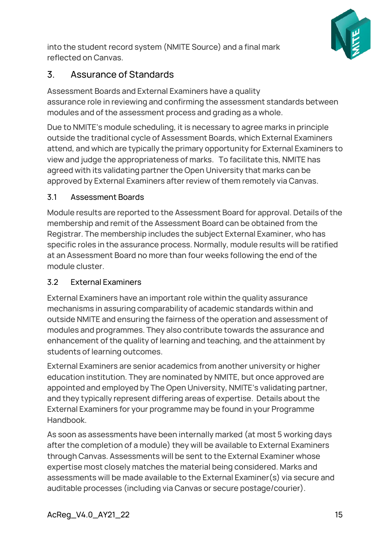

into the student record system (NMITE Source) and a final mark reflected on Canvas.

# <span id="page-14-0"></span>3. Assurance of Standards

Assessment Boards and External Examiners have a quality assurance role in reviewing and confirming the assessment standards between modules and of the assessment process and grading as a whole.

Due to NMITE's module scheduling, it is necessary to agree marks in principle outside the traditional cycle of Assessment Boards, which External Examiners attend, and which are typically the primary opportunity for External Examiners to view and judge the appropriateness of marks. To facilitate this, NMITE has agreed with its validating partner the Open University that marks can be approved by External Examiners after review of them remotely via Canvas.

# <span id="page-14-1"></span>3.1 Assessment Boards

Module results are reported to the Assessment Board for approval. Details of the membership and remit of the Assessment Board can be obtained from the Registrar. The membership includes the subject External Examiner, who has specific roles in the assurance process. Normally, module results will be ratified at an Assessment Board no more than four weeks following the end of the module cluster.

# <span id="page-14-2"></span>3.2 External Examiners

External Examiners have an important role within the quality assurance mechanisms in assuring comparability of academic standards within and outside NMITE and ensuring the fairness of the operation and assessment of modules and programmes. They also contribute towards the assurance and enhancement of the quality of learning and teaching, and the attainment by students of learning outcomes.

External Examiners are senior academics from another university or higher education institution. They are nominated by NMITE, but once approved are appointed and employed by The Open University, NMITE's validating partner, and they typically represent differing areas of expertise. Details about the External Examiners for your programme may be found in your Programme Handbook.

As soon as assessments have been internally marked (at most 5 working days after the completion of a module) they will be available to External Examiners through Canvas. Assessments will be sent to the External Examiner whose expertise most closely matches the material being considered. Marks and assessments will be made available to the External Examiner(s) via secure and auditable processes (including via Canvas or secure postage/courier).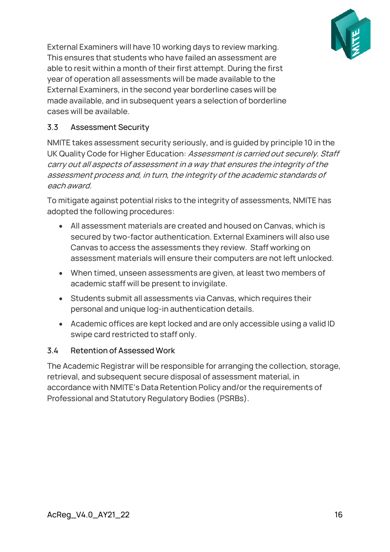

External Examiners will have 10 working days to review marking. This ensures that students who have failed an assessment are able to resit within a month of their first attempt. During the first year of operation all assessments will be made available to the External Examiners, in the second year borderline cases will be made available, and in subsequent years a selection of borderline cases will be available.

### <span id="page-15-0"></span>3.3 Assessment Security

NMITE takes assessment security seriously, and is guided by principle 10 in the UK Quality Code for Higher Education: Assessment is carried out securely. Staff carry out all aspects of assessment in a way that ensures the integrity of the assessment process and, in turn, the integrity of the academic standards of each award.

To mitigate against potential risks to the integrity of assessments, NMITE has adopted the following procedures:

- All assessment materials are created and housed on Canvas, which is secured by two-factor authentication. External Examiners will also use Canvas to access the assessments they review. Staff working on assessment materials will ensure their computers are not left unlocked.
- When timed, unseen assessments are given, at least two members of academic staff will be present to invigilate.
- Students submit all assessments via Canvas, which requires their personal and unique log-in authentication details.
- Academic offices are kept locked and are only accessible using a valid ID swipe card restricted to staff only.

#### <span id="page-15-1"></span>3.4 Retention of Assessed Work

The Academic Registrar will be responsible for arranging the collection, storage, retrieval, and subsequent secure disposal of assessment material, in accordance with NMITE's Data Retention Policy and/or the requirements of Professional and Statutory Regulatory Bodies (PSRBs).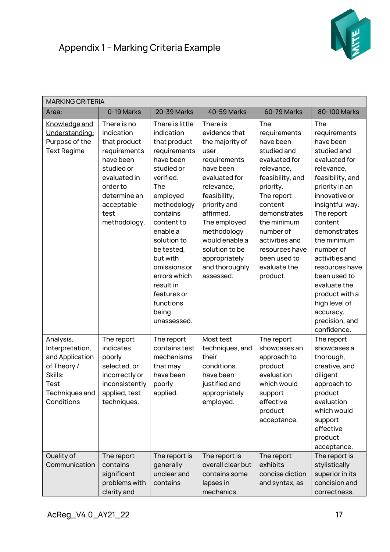

<span id="page-16-0"></span>

| <b>MARKING CRITERIA</b>                                                                                                  |                                                                                                                                                                        |                                                                                                                                                                                                                                                                                                                         |                                                                                                                                                                                                                                                                                  |                                                                                                                                                                                                                                                                      |                                                                                                                                                                                                                                                                                                                                                                                    |  |  |
|--------------------------------------------------------------------------------------------------------------------------|------------------------------------------------------------------------------------------------------------------------------------------------------------------------|-------------------------------------------------------------------------------------------------------------------------------------------------------------------------------------------------------------------------------------------------------------------------------------------------------------------------|----------------------------------------------------------------------------------------------------------------------------------------------------------------------------------------------------------------------------------------------------------------------------------|----------------------------------------------------------------------------------------------------------------------------------------------------------------------------------------------------------------------------------------------------------------------|------------------------------------------------------------------------------------------------------------------------------------------------------------------------------------------------------------------------------------------------------------------------------------------------------------------------------------------------------------------------------------|--|--|
| Area:                                                                                                                    | 0-19 Marks                                                                                                                                                             | 20-39 Marks                                                                                                                                                                                                                                                                                                             | <b>40-59 Marks</b>                                                                                                                                                                                                                                                               | 60-79 Marks                                                                                                                                                                                                                                                          | 80-100 Marks                                                                                                                                                                                                                                                                                                                                                                       |  |  |
| Knowledge and<br>Understanding:<br>Purpose of the<br><b>Text Regime</b>                                                  | There is no<br>indication<br>that product<br>requirements<br>have been<br>studied or<br>evaluated in<br>order to<br>determine an<br>acceptable<br>test<br>methodology. | There is little<br>indication<br>that product<br>requirements<br>have been<br>studied or<br>verified.<br>The<br>employed<br>methodology<br>contains<br>content to<br>enable a<br>solution to<br>be tested,<br>but with<br>omissions or<br>errors which<br>result in<br>features or<br>functions<br>being<br>unassessed. | There is<br>evidence that<br>the majority of<br>user<br>requirements<br>have been<br>evaluated for<br>relevance,<br>feasibility,<br>priority and<br>affirmed.<br>The employed<br>methodology<br>would enable a<br>solution to be<br>appropriately<br>and thoroughly<br>assessed. | The<br>requirements<br>have been<br>studied and<br>evaluated for<br>relevance,<br>feasibility, and<br>priority.<br>The report<br>content<br>demonstrates<br>the minimum<br>number of<br>activities and<br>resources have<br>been used to<br>evaluate the<br>product. | The<br>requirements<br>have been<br>studied and<br>evaluated for<br>relevance,<br>feasibility, and<br>priority in an<br>innovative or<br>insightful way.<br>The report<br>content<br>demonstrates<br>the minimum<br>number of<br>activities and<br>resources have<br>been used to<br>evaluate the<br>product with a<br>high level of<br>accuracy,<br>precision, and<br>confidence. |  |  |
| Analysis,<br>Interpretation,<br>and Application<br>of Theory /<br>Skills:<br><b>Test</b><br>Techniques and<br>Conditions | The report<br>indicates<br>poorly<br>selected, or<br>incorrectly or<br>inconsistently<br>applied, test<br>techniques.                                                  | The report<br>contains test<br>mechanisms<br>that may<br>have been<br>poorly<br>applied.                                                                                                                                                                                                                                | Most test<br>techniques, and<br>their<br>conditions,<br>have been<br>justified and<br>appropriately<br>employed.                                                                                                                                                                 | The report<br>showcases an<br>approach to<br>product<br>evaluation<br>which would<br>support<br>effective<br>product<br>acceptance.                                                                                                                                  | The report<br>showcases a<br>thorough,<br>creative, and<br>diligent<br>approach to<br>product<br>evaluation<br>which would<br>support<br>effective<br>product<br>acceptance.                                                                                                                                                                                                       |  |  |
| Quality of<br>Communication                                                                                              | The report<br>contains<br>significant<br>problems with<br>clarity and                                                                                                  | The report is<br>generally<br>unclear and<br>contains                                                                                                                                                                                                                                                                   | The report is<br>overall clear but<br>contains some<br>lapses in<br>mechanics.                                                                                                                                                                                                   | The report<br>exhibits<br>concise diction<br>and syntax, as                                                                                                                                                                                                          | The report is<br>stylistically<br>superior in its<br>concision and<br>correctness.                                                                                                                                                                                                                                                                                                 |  |  |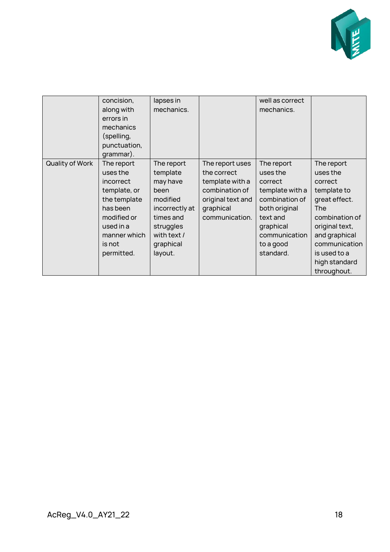

|                 | concision,<br>along with<br>errors in<br>mechanics<br>(spelling,<br>punctuation,<br>grammar).                                                       | lapses in<br>mechanics.                                                                                                                   |                                                                                                                         | well as correct<br>mechanics.                                                                                                                               |                                                                                                                                                                                                       |
|-----------------|-----------------------------------------------------------------------------------------------------------------------------------------------------|-------------------------------------------------------------------------------------------------------------------------------------------|-------------------------------------------------------------------------------------------------------------------------|-------------------------------------------------------------------------------------------------------------------------------------------------------------|-------------------------------------------------------------------------------------------------------------------------------------------------------------------------------------------------------|
| Quality of Work | The report<br>uses the<br>incorrect<br>template, or<br>the template<br>has been<br>modified or<br>used in a<br>manner which<br>is not<br>permitted. | The report<br>template<br>may have<br>been<br>modified<br>incorrectly at<br>times and<br>struggles<br>with text /<br>graphical<br>layout. | The report uses<br>the correct<br>template with a<br>combination of<br>original text and<br>graphical<br>communication. | The report<br>uses the<br>correct<br>template with a<br>combination of<br>both original<br>text and<br>graphical<br>communication<br>to a good<br>standard. | The report<br>uses the<br>correct<br>template to<br>great effect.<br><b>The</b><br>combination of<br>original text,<br>and graphical<br>communication<br>is used to a<br>high standard<br>throughout. |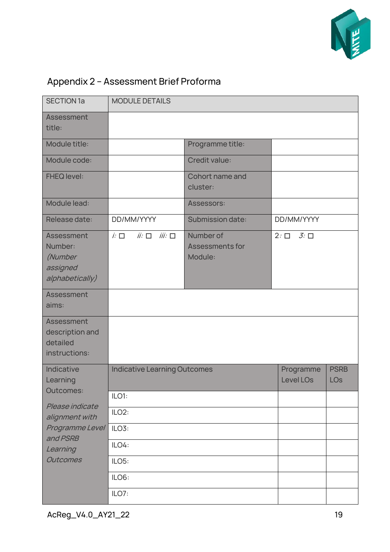

# <span id="page-18-0"></span>Appendix 2 – Assessment Brief Proforma

| <b>SECTION 1a</b>                                               | <b>MODULE DETAILS</b>                 |                                                |                                        |                           |  |
|-----------------------------------------------------------------|---------------------------------------|------------------------------------------------|----------------------------------------|---------------------------|--|
| Assessment<br>title:                                            |                                       |                                                |                                        |                           |  |
| Module title:                                                   |                                       | Programme title:                               |                                        |                           |  |
| Module code:                                                    |                                       | Credit value:                                  |                                        |                           |  |
| <b>FHEQ level:</b>                                              |                                       | Cohort name and<br>cluster:                    |                                        |                           |  |
| Module lead:                                                    |                                       | Assessors:                                     |                                        |                           |  |
| Release date:                                                   | DD/MM/YYYY                            | Submission date:                               | DD/MM/YYYY                             |                           |  |
| Assessment<br>Number:<br>(Number<br>assigned<br>alphabetically) | $iii: \Box$<br>$ii: \Box$<br>$k \Box$ | Number of<br><b>Assessments for</b><br>Module: | $\mathcal{J}$ : $\square$<br>$2: \Box$ |                           |  |
| <b>Assessment</b><br>aims:                                      |                                       |                                                |                                        |                           |  |
| Assessment<br>description and<br>detailed<br>instructions:      |                                       |                                                |                                        |                           |  |
| Indicative<br>Learning                                          | <b>Indicative Learning Outcomes</b>   |                                                | Programme<br><b>Level LOs</b>          | <b>PSRB</b><br><b>LOs</b> |  |
| Outcomes:                                                       | ILO1:                                 |                                                |                                        |                           |  |
| Please indicate<br>alignment with                               | ILO <sub>2</sub> :                    |                                                |                                        |                           |  |
| Programme Level                                                 | ILO3:                                 |                                                |                                        |                           |  |
| and PSRB<br>Learning                                            | ILO4:                                 |                                                |                                        |                           |  |
| <b>Outcomes</b>                                                 | ILO5:                                 |                                                |                                        |                           |  |
|                                                                 | ILO6:                                 |                                                |                                        |                           |  |
|                                                                 | ILO7:                                 |                                                |                                        |                           |  |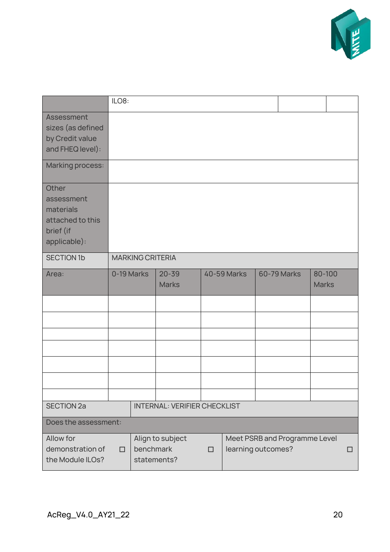

|                                                                                   | ILO8:                                                                                                              |            |                           |  |                    |  |                    |                        |  |
|-----------------------------------------------------------------------------------|--------------------------------------------------------------------------------------------------------------------|------------|---------------------------|--|--------------------|--|--------------------|------------------------|--|
| Assessment<br>sizes (as defined<br>by Credit value<br>and FHEQ level):            |                                                                                                                    |            |                           |  |                    |  |                    |                        |  |
| Marking process:                                                                  |                                                                                                                    |            |                           |  |                    |  |                    |                        |  |
| Other<br>assessment<br>materials<br>attached to this<br>brief (if<br>applicable): |                                                                                                                    |            |                           |  |                    |  |                    |                        |  |
| <b>SECTION 1b</b>                                                                 | <b>MARKING CRITERIA</b>                                                                                            |            |                           |  |                    |  |                    |                        |  |
| Area:                                                                             |                                                                                                                    | 0-19 Marks | $20 - 39$<br><b>Marks</b> |  | <b>40-59 Marks</b> |  | <b>60-79 Marks</b> | 80-100<br><b>Marks</b> |  |
|                                                                                   |                                                                                                                    |            |                           |  |                    |  |                    |                        |  |
|                                                                                   |                                                                                                                    |            |                           |  |                    |  |                    |                        |  |
|                                                                                   |                                                                                                                    |            |                           |  |                    |  |                    |                        |  |
|                                                                                   |                                                                                                                    |            |                           |  |                    |  |                    |                        |  |
|                                                                                   |                                                                                                                    |            |                           |  |                    |  |                    |                        |  |
|                                                                                   |                                                                                                                    |            |                           |  |                    |  |                    |                        |  |
| <b>SECTION 2a</b>                                                                 | <b>INTERNAL: VERIFIER CHECKLIST</b>                                                                                |            |                           |  |                    |  |                    |                        |  |
| Does the assessment:                                                              |                                                                                                                    |            |                           |  |                    |  |                    |                        |  |
| Allow for<br>demonstration of<br>the Module ILOs?                                 | Align to subject<br>Meet PSRB and Programme Level<br>benchmark<br>learning outcomes?<br>□<br>П<br>П<br>statements? |            |                           |  |                    |  |                    |                        |  |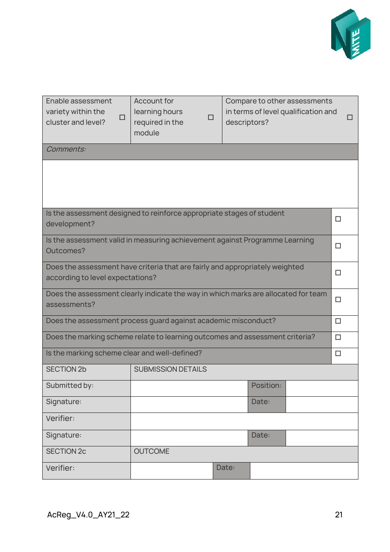

| Enable assessment<br>variety within the<br>□<br>cluster and level?                                                         | <b>Account for</b><br>learning hours<br>□<br>required in the<br>module | descriptors? | Compare to other assessments<br>in terms of level qualification and |  |  |  |  |  |  |
|----------------------------------------------------------------------------------------------------------------------------|------------------------------------------------------------------------|--------------|---------------------------------------------------------------------|--|--|--|--|--|--|
| Comments:                                                                                                                  |                                                                        |              |                                                                     |  |  |  |  |  |  |
|                                                                                                                            |                                                                        |              |                                                                     |  |  |  |  |  |  |
| development?                                                                                                               | Is the assessment designed to reinforce appropriate stages of student  |              | $\Box$                                                              |  |  |  |  |  |  |
| Is the assessment valid in measuring achievement against Programme Learning<br>□<br>Outcomes?                              |                                                                        |              |                                                                     |  |  |  |  |  |  |
| Does the assessment have criteria that are fairly and appropriately weighted<br>$\Box$<br>according to level expectations? |                                                                        |              |                                                                     |  |  |  |  |  |  |
| Does the assessment clearly indicate the way in which marks are allocated for team<br>$\Box$<br>assessments?               |                                                                        |              |                                                                     |  |  |  |  |  |  |
| Does the assessment process guard against academic misconduct?<br>$\Box$                                                   |                                                                        |              |                                                                     |  |  |  |  |  |  |
| Does the marking scheme relate to learning outcomes and assessment criteria?<br>$\Box$                                     |                                                                        |              |                                                                     |  |  |  |  |  |  |
| Is the marking scheme clear and well-defined?                                                                              |                                                                        |              | $\Box$                                                              |  |  |  |  |  |  |
| <b>SECTION 2b</b>                                                                                                          | <b>SUBMISSION DETAILS</b>                                              |              |                                                                     |  |  |  |  |  |  |
| Submitted by:                                                                                                              |                                                                        |              | Position:                                                           |  |  |  |  |  |  |
| Signature:                                                                                                                 | Date:                                                                  |              |                                                                     |  |  |  |  |  |  |
| Verifier:                                                                                                                  |                                                                        |              |                                                                     |  |  |  |  |  |  |
| Signature:                                                                                                                 |                                                                        |              | Date:                                                               |  |  |  |  |  |  |
| <b>SECTION 2c</b>                                                                                                          | <b>OUTCOME</b>                                                         |              |                                                                     |  |  |  |  |  |  |
| Verifier:                                                                                                                  |                                                                        | Date:        |                                                                     |  |  |  |  |  |  |